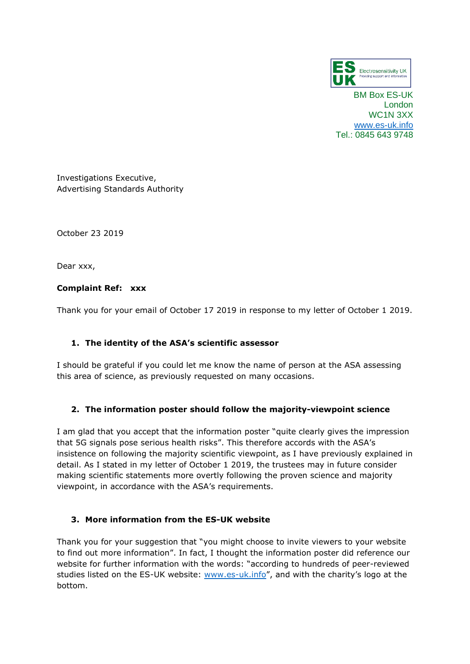

BM Box ES-UK London WC1N 3XX [www.es-uk.info](http://www.es-uk.info/) Tel.: 0845 643 9748

Investigations Executive, Advertising Standards Authority

October 23 2019

Dear xxx,

# **Complaint Ref: xxx**

Thank you for your email of October 17 2019 in response to my letter of October 1 2019.

# **1. The identity of the ASA's scientific assessor**

I should be grateful if you could let me know the name of person at the ASA assessing this area of science, as previously requested on many occasions.

# **2. The information poster should follow the majority-viewpoint science**

I am glad that you accept that the information poster "quite clearly gives the impression that 5G signals pose serious health risks". This therefore accords with the ASA's insistence on following the majority scientific viewpoint, as I have previously explained in detail. As I stated in my letter of October 1 2019, the trustees may in future consider making scientific statements more overtly following the proven science and majority viewpoint, in accordance with the ASA's requirements.

# **3. More information from the ES-UK website**

Thank you for your suggestion that "you might choose to invite viewers to your website to find out more information". In fact, I thought the information poster did reference our website for further information with the words: "according to hundreds of peer-reviewed studies listed on the ES-UK website: [www.es-uk.info](http://www.es-uk.info/)", and with the charity's logo at the bottom.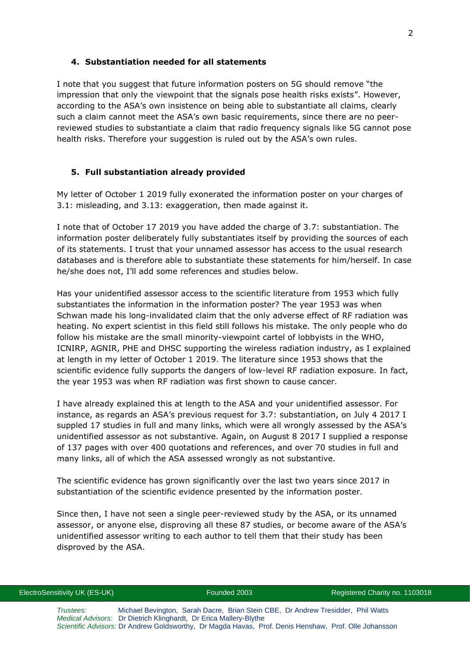### **4. Substantiation needed for all statements**

I note that you suggest that future information posters on 5G should remove "the impression that only the viewpoint that the signals pose health risks exists". However, according to the ASA's own insistence on being able to substantiate all claims, clearly such a claim cannot meet the ASA's own basic requirements, since there are no peerreviewed studies to substantiate a claim that radio frequency signals like 5G cannot pose health risks. Therefore your suggestion is ruled out by the ASA's own rules.

### **5. Full substantiation already provided**

My letter of October 1 2019 fully exonerated the information poster on your charges of 3.1: misleading, and 3.13: exaggeration, then made against it.

I note that of October 17 2019 you have added the charge of 3.7: substantiation. The information poster deliberately fully substantiates itself by providing the sources of each of its statements. I trust that your unnamed assessor has access to the usual research databases and is therefore able to substantiate these statements for him/herself. In case he/she does not, I'll add some references and studies below.

Has your unidentified assessor access to the scientific literature from 1953 which fully substantiates the information in the information poster? The year 1953 was when Schwan made his long-invalidated claim that the only adverse effect of RF radiation was heating. No expert scientist in this field still follows his mistake. The only people who do follow his mistake are the small minority-viewpoint cartel of lobbyists in the WHO, ICNIRP, AGNIR, PHE and DHSC supporting the wireless radiation industry, as I explained at length in my letter of October 1 2019. The literature since 1953 shows that the scientific evidence fully supports the dangers of low-level RF radiation exposure. In fact, the year 1953 was when RF radiation was first shown to cause cancer.

I have already explained this at length to the ASA and your unidentified assessor. For instance, as regards an ASA's previous request for 3.7: substantiation, on July 4 2017 I suppled 17 studies in full and many links, which were all wrongly assessed by the ASA's unidentified assessor as not substantive. Again, on August 8 2017 I supplied a response of 137 pages with over 400 quotations and references, and over 70 studies in full and many links, all of which the ASA assessed wrongly as not substantive.

The scientific evidence has grown significantly over the last two years since 2017 in substantiation of the scientific evidence presented by the information poster.

Since then, I have not seen a single peer-reviewed study by the ASA, or its unnamed assessor, or anyone else, disproving all these 87 studies, or become aware of the ASA's unidentified assessor writing to each author to tell them that their study has been disproved by the ASA.

*Trustees:* Michael Bevington, Sarah Dacre, Brian Stein CBE, Dr Andrew Tresidder, Phil Watts *Medical Advisors:* Dr Dietrich Klinghardt, Dr Erica Mallery-Blythe *Scientific Advisors:* Dr Andrew Goldsworthy, Dr Magda Havas, Prof. Denis Henshaw, Prof. Olle Johansson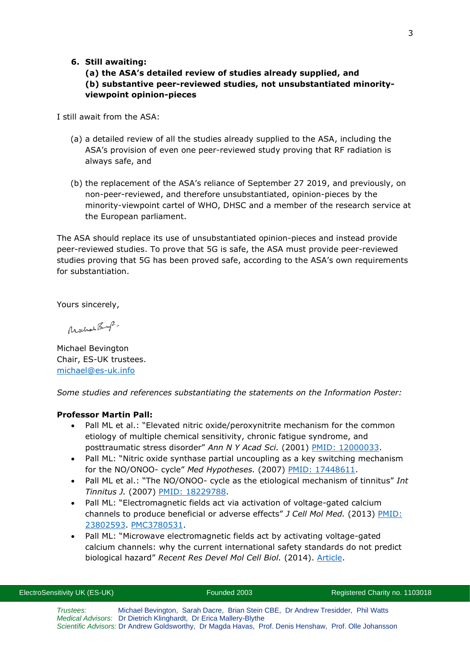### **6. Still awaiting:**

# **(a) the ASA's detailed review of studies already supplied, and (b) substantive peer-reviewed studies, not unsubstantiated minorityviewpoint opinion-pieces**

I still await from the ASA:

- (a) a detailed review of all the studies already supplied to the ASA, including the ASA's provision of even one peer-reviewed study proving that RF radiation is always safe, and
- (b) the replacement of the ASA's reliance of September 27 2019, and previously, on non-peer-reviewed, and therefore unsubstantiated, opinion-pieces by the minority-viewpoint cartel of WHO, DHSC and a member of the research service at the European parliament.

The ASA should replace its use of unsubstantiated opinion-pieces and instead provide peer-reviewed studies. To prove that 5G is safe, the ASA must provide peer-reviewed studies proving that 5G has been proved safe, according to the ASA's own requirements for substantiation.

Yours sincerely,

Mochae Buff.

Michael Bevington Chair, ES-UK trustees. [michael@es-uk.info](mailto:michael@es-uk.info)

*Some studies and references substantiating the statements on the Information Poster:*

### **Professor Martin Pall:**

- Pall ML et al.: "Elevated nitric oxide/peroxynitrite mechanism for the common etiology of multiple chemical sensitivity, chronic fatigue syndrome, and posttraumatic stress disorder" *Ann N Y Acad Sci.* (2001) [PMID: 12000033.](https://www.ncbi.nlm.nih.gov/pubmed/12000033)
- Pall ML: "Nitric oxide synthase partial uncoupling as a key switching mechanism for the NO/ONOO- cycle" *Med Hypotheses.* (2007) [PMID: 17448611.](https://www.ncbi.nlm.nih.gov/pubmed/17448611)
- Pall ML et al.: "The NO/ONOO- cycle as the etiological mechanism of tinnitus" *Int Tinnitus J.* (2007) [PMID: 18229788.](https://www.ncbi.nlm.nih.gov/pubmed/18229788)
- Pall ML: "Electromagnetic fields act via activation of voltage-gated calcium channels to produce beneficial or adverse effects" *J Cell Mol Med.* (2013) PMID: [23802593.](http://www.ncbi.nlm.nih.gov/pubmed/23802593) [PMC3780531.](https://www.ncbi.nlm.nih.gov/pmc/articles/PMC3780531/)
- Pall ML: "Microwave electromagnetic fields act by activating voltage-gated calcium channels: why the current international safety standards do not predict biological hazard" *Recent Res Devel Mol Cell Biol.* (2014). [Article.](http://www.electricalpollution.com/documents/Pallmicrow-vgccnoheat.pdf)

| ElectroSensitivity UK (ES-UK) | Founded 2003                                                                                                                                          | Registered Charity no. 1103018 |
|-------------------------------|-------------------------------------------------------------------------------------------------------------------------------------------------------|--------------------------------|
| Trustees:                     | Michael Bevington, Sarah Dacre, Brian Stein CBE, Dr Andrew Tresidder, Phil Watts<br>Medical Advisors: Dr Dietrich Klinghardt, Dr Erica Mallery-Blythe |                                |
|                               | Scientific Advisors: Dr Andrew Goldsworthy, Dr Magda Havas, Prof. Denis Henshaw, Prof. Olle Johansson                                                 |                                |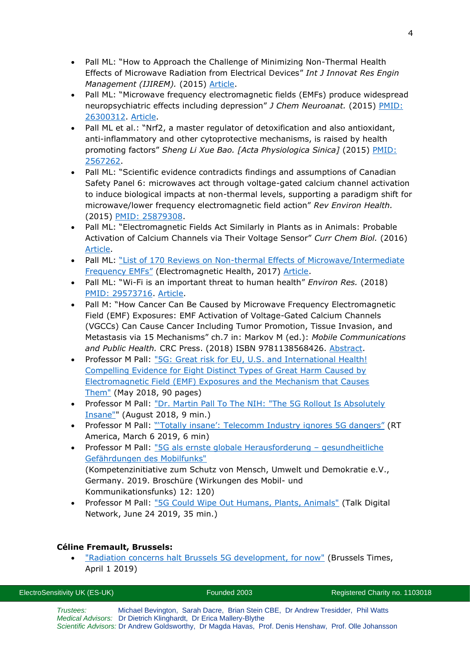- Pall ML: "How to Approach the Challenge of Minimizing Non-Thermal Health Effects of Microwave Radiation from Electrical Devices" *Int J Innovat Res Engin Management (IJIREM).* (2015) [Article.](http://www.ijirem.org/DOC/13_%20IREM227eae34922-5dfb-469c-8b9a-1b1582fb0e8b.pdf)
- Pall ML: "Microwave frequency electromagnetic fields (EMFs) produce widespread neuropsychiatric effects including depression" *J Chem Neuroanat.* (2015) [PMID:](http://www.ncbi.nlm.nih.gov/pubmed/26300312)  [26300312.](http://www.ncbi.nlm.nih.gov/pubmed/26300312) [Article.](https://www.sciencedirect.com/science/article/pii/S0891061815000599?via%3Dihub)
- Pall ML et al.: "Nrf2, a master regulator of detoxification and also antioxidant, anti-inflammatory and other cytoprotective mechanisms, is raised by health promoting factors" *Sheng Li Xue Bao. [Acta Physiologica Sinica]* (2015) [PMID:](https://www.ncbi.nlm.nih.gov/pubmed/25672622)  [2567262.](https://www.ncbi.nlm.nih.gov/pubmed/25672622)
- Pall ML: "Scientific evidence contradicts findings and assumptions of Canadian Safety Panel 6: microwaves act through voltage-gated calcium channel activation to induce biological impacts at non-thermal levels, supporting a paradigm shift for microwave/lower frequency electromagnetic field action" *Rev Environ Health.* (2015) [PMID: 25879308.](http://www.ncbi.nlm.nih.gov/pubmed/25879308)
- Pall ML: "Electromagnetic Fields Act Similarly in Plants as in Animals: Probable Activation of Calcium Channels via Their Voltage Sensor" *Curr Chem Biol.* (2016) [Article.](http://www.eurekaselect.com/141390)
- Pall ML: "List of 170 Reviews on Non-thermal Effects of Microwave/Intermediate [Frequency EMFs"](http://electromagnetichealth.org/electromagnetic-health-blog/153-reviews/) (Electromagnetic Health, 2017) [Article.](http://electromagnetichealth.org/wp-content/uploads/2017/12/170-Reviews.pdf)
- Pall ML: "Wi-Fi is an important threat to human health" *Environ Res.* (2018) [PMID: 29573716.](https://www.ncbi.nlm.nih.gov/pubmed/29573716) [Article.](https://www.sciencedirect.com/sdfe/pdf/download/file/pii/S0013935118300355/1-s2.0-S0013935118300355-main.pdf)
- Pall M: "How Cancer Can Be Caused by Microwave Frequency Electromagnetic Field (EMF) Exposures: EMF Activation of Voltage-Gated Calcium Channels (VGCCs) Can Cause Cancer Including Tumor Promotion, Tissue Invasion, and Metastasis via 15 Mechanisms" ch.7 in: Markov M (ed.): *Mobile Communications and Public Health.* CRC Press. (2018) ISBN 9781138568426. [Abstract.](https://www.taylorfrancis.com/books/e/9780203705100)
- Professor M Pall: "5G: Great risk [for EU, U.S. and International Health!](https://www.salzburg.gv.at/gesundheit_/Documents/Pall-EU-EMF2018-6-11US3.pdf)  [Compelling Evidence for Eight Distinct Types of Great Harm Caused by](https://www.salzburg.gv.at/gesundheit_/Documents/Pall-EU-EMF2018-6-11US3.pdf)  [Electromagnetic Field \(EMF\) Exposures and the Mechanism that Causes](https://www.salzburg.gv.at/gesundheit_/Documents/Pall-EU-EMF2018-6-11US3.pdf)  [Them"](https://www.salzburg.gv.at/gesundheit_/Documents/Pall-EU-EMF2018-6-11US3.pdf) (May 2018, 90 pages)
- Professor M Pall: "Dr. Martin Pall To The NIH: "The 5G Rollout Is Absolutely [Insane""](https://www.youtube.com/watch?v=kBsUWbUB6PE) (August 2018, 9 min.)
- Professor M Pall: "Totally insane': Telecomm Industry ignores 5G dangers" (RT America, March 6 2019, 6 min)
- Professor M Pall: ["5G als ernste globale Herausforderung](http://kompetenzinitiative.net/KIT/wp-content/uploads/2019/04/2019-03-25_RZ-pall-webvorlage.pdf)  gesundheitliche [Gefährdungen des Mobilfunks"](http://kompetenzinitiative.net/KIT/wp-content/uploads/2019/04/2019-03-25_RZ-pall-webvorlage.pdf) (Kompetenzinitiative zum Schutz von Mensch, Umwelt und Demokratie e.V., Germany. 2019. Broschüre (Wirkungen des Mobil- und Kommunikationsfunks) 12: 120)
- Professor M Pall: ["5G Could Wipe Out Humans, Plants, Animals"](https://www.youtube.com/watch?v=4GqnAZHqBrY) (Talk Digital Network, June 24 2019, 35 min.)

# **Céline Fremault, Brussels:**

**["Radiation concerns halt Brussels 5G development, for now"](http://www.brusselstimes.com/brussels/14753/radiation-concerns-halt-brussels-5g-for-now?fbclid=IwAR3QeGIu-ZtFfr-0Aq2alU0BbYq6etxYKpE0rnagXirPPnV5pdLHZbdbYIU) (Brussels Times,** April 1 2019)

| Trustees: | Michael Bevington, Sarah Dacre, Brian Stein CBE, Dr Andrew Tresidder, Phil Watts                      |
|-----------|-------------------------------------------------------------------------------------------------------|
|           | <i>Medical Advisors:</i> Dr Dietrich Klinghardt, Dr Erica Mallery-Blythe                              |
|           | Scientific Advisors: Dr Andrew Goldsworthy, Dr Magda Havas, Prof. Denis Henshaw, Prof. Olle Johansson |

ElectroSensitivity UK (ES-UK) Founded 2003 Registered Charity no. 1103018